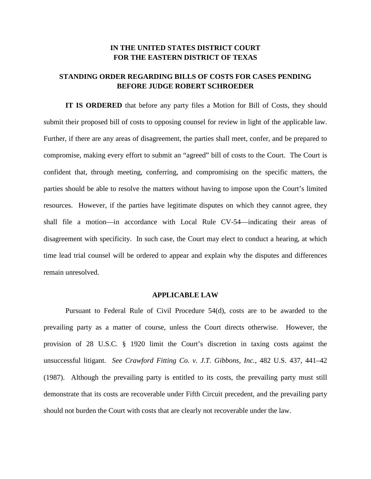## **IN THE UNITED STATES DISTRICT COURT FOR THE EASTERN DISTRICT OF TEXAS**

# **STANDING ORDER REGARDING BILLS OF COSTS FOR CASES PENDING BEFORE JUDGE ROBERT SCHROEDER**

**IT IS ORDERED** that before any party files a Motion for Bill of Costs, they should submit their proposed bill of costs to opposing counsel for review in light of the applicable law. Further, if there are any areas of disagreement, the parties shall meet, confer, and be prepared to compromise, making every effort to submit an "agreed" bill of costs to the Court. The Court is confident that, through meeting, conferring, and compromising on the specific matters, the parties should be able to resolve the matters without having to impose upon the Court's limited resources. However, if the parties have legitimate disputes on which they cannot agree, they shall file a motion—in accordance with Local Rule CV-54—indicating their areas of disagreement with specificity. In such case, the Court may elect to conduct a hearing, at which time lead trial counsel will be ordered to appear and explain why the disputes and differences remain unresolved.

#### **APPLICABLE LAW**

Pursuant to Federal Rule of Civil Procedure 54(d), costs are to be awarded to the prevailing party as a matter of course, unless the Court directs otherwise. However, the provision of 28 U.S.C. § 1920 limit the Court's discretion in taxing costs against the unsuccessful litigant. *See Crawford Fitting Co. v. J.T. Gibbons, Inc.*, 482 U.S. 437, 441–42 (1987). Although the prevailing party is entitled to its costs, the prevailing party must still demonstrate that its costs are recoverable under Fifth Circuit precedent, and the prevailing party should not burden the Court with costs that are clearly not recoverable under the law.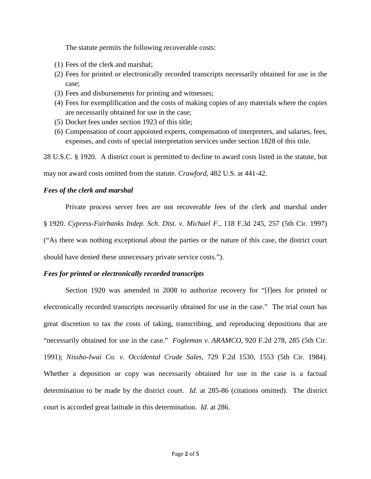The statute permits the following recoverable costs:

- (1) Fees of the clerk and marshal;
- (2) Fees for printed or electronically recorded transcripts necessarily obtained for use in the case;
- (3) Fees and disbursements for printing and witnesses;
- (4) Fees for exemplification and the costs of making copies of any materials where the copies are necessarily obtained for use in the case;
- (5) Docket fees under section 1923 of this title;
- (6) Compensation of court appointed experts, compensation of interpreters, and salaries, fees, expenses, and costs of special interpretation services under section 1828 of this title.

28 U.S.C. § 1920. A district court is permitted to decline to award costs listed in the statute, but

may not award costs omitted from the statute. *Crawford*, 482 U.S. at 441-42.

## *Fees of the clerk and marshal*

Private process server fees are not recoverable fees of the clerk and marshal under § 1920. *Cypress-Fairbanks Indep. Sch. Dist. v. Michael F.*, 118 F.3d 245, 257 (5th Cir. 1997) ("As there was nothing exceptional about the parties or the nature of this case, the district court should have denied these unnecessary private service costs.").

## *Fees for printed or electronically recorded transcripts*

Section 1920 was amended in 2008 to authorize recovery for "[f]ees for printed or electronically recorded transcripts necessarily obtained for use in the case." The trial court has great discretion to tax the costs of taking, transcribing, and reproducing depositions that are "necessarily obtained for use in the case." *Fogleman v. ARAMCO*, 920 F.2d 278, 285 (5th Cir. 1991); *Nissho-Iwai Co. v. Occidental Crude Sales*, 729 F.2d 1530, 1553 (5th Cir. 1984). Whether a deposition or copy was necessarily obtained for use in the case is a factual determination to be made by the district court. *Id*. at 285-86 (citations omitted). The district court is accorded great latitude in this determination. *Id*. at 286.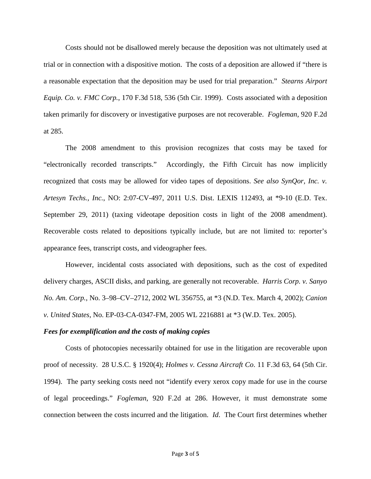Costs should not be disallowed merely because the deposition was not ultimately used at trial or in connection with a dispositive motion. The costs of a deposition are allowed if "there is a reasonable expectation that the deposition may be used for trial preparation." *Stearns Airport Equip. Co. v. FMC Corp.*, 170 F.3d 518, 536 (5th Cir. 1999). Costs associated with a deposition taken primarily for discovery or investigative purposes are not recoverable. *Fogleman*, 920 F.2d at 285.

The 2008 amendment to this provision recognizes that costs may be taxed for "electronically recorded transcripts." Accordingly, the Fifth Circuit has now implicitly recognized that costs may be allowed for video tapes of depositions. *See also SynQor, Inc. v. Artesyn Techs., Inc.*, NO: 2:07-CV-497, 2011 U.S. Dist. LEXIS 112493, at \*9-10 (E.D. Tex. September 29, 2011) (taxing videotape deposition costs in light of the 2008 amendment). Recoverable costs related to depositions typically include, but are not limited to: reporter's appearance fees, transcript costs, and videographer fees.

However, incidental costs associated with depositions, such as the cost of expedited delivery charges, ASCII disks, and parking, are generally not recoverable. *Harris Corp. v. Sanyo No. Am. Corp.*, No. 3–98–CV–2712, 2002 WL 356755, at \*3 (N.D. Tex. March 4, 2002); *Canion v. United States*, No. EP-03-CA-0347-FM, 2005 WL 2216881 at \*3 (W.D. Tex. 2005).

### *Fees for exemplification and the costs of making copies*

Costs of photocopies necessarily obtained for use in the litigation are recoverable upon proof of necessity. 28 U.S.C. § 1920(4); *Holmes v. Cessna Aircraft Co*. 11 F.3d 63, 64 (5th Cir. 1994). The party seeking costs need not "identify every xerox copy made for use in the course of legal proceedings." *Fogleman*, 920 F.2d at 286. However, it must demonstrate some connection between the costs incurred and the litigation. *Id*. The Court first determines whether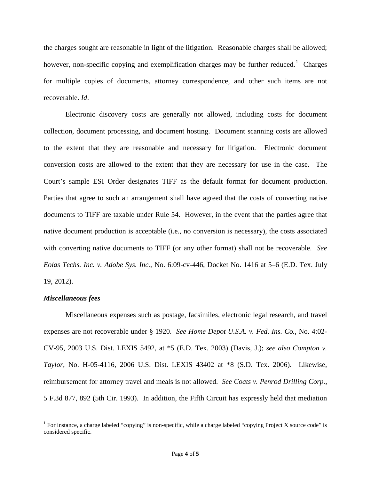the charges sought are reasonable in light of the litigation. Reasonable charges shall be allowed; however, non-specific copying and exemplification charges may be further reduced.<sup>1</sup> Charges for multiple copies of documents, attorney correspondence, and other such items are not recoverable. *Id*.

Electronic discovery costs are generally not allowed, including costs for document collection, document processing, and document hosting. Document scanning costs are allowed to the extent that they are reasonable and necessary for litigation. Electronic document conversion costs are allowed to the extent that they are necessary for use in the case. The Court's sample ESI Order designates TIFF as the default format for document production. Parties that agree to such an arrangement shall have agreed that the costs of converting native documents to TIFF are taxable under Rule 54. However, in the event that the parties agree that native document production is acceptable (i.e., no conversion is necessary), the costs associated with converting native documents to TIFF (or any other format) shall not be recoverable. *See Eolas Techs. Inc. v. Adobe Sys. Inc.*, No. 6:09-cv-446, Docket No. 1416 at 5–6 (E.D. Tex. July 19, 2012).

#### *Miscellaneous fees*

Miscellaneous expenses such as postage, facsimiles, electronic legal research, and travel expenses are not recoverable under § 1920. *See Home Depot U.S.A. v. Fed. Ins. Co.*, No. 4:02- CV-95, 2003 U.S. Dist. LEXIS 5492, at \*5 (E.D. Tex. 2003) (Davis, J.); *see also Compton v. Taylor*, No. H-05-4116, 2006 U.S. Dist. LEXIS 43402 at \*8 (S.D. Tex. 2006). Likewise, reimbursement for attorney travel and meals is not allowed. *See Coats v. Penrod Drilling Corp.*, 5 F.3d 877, 892 (5th Cir. 1993). In addition, the Fifth Circuit has expressly held that mediation

<sup>&</sup>lt;sup>1</sup> For instance, a charge labeled "copying" is non-specific, while a charge labeled "copying Project X source code" is considered specific.